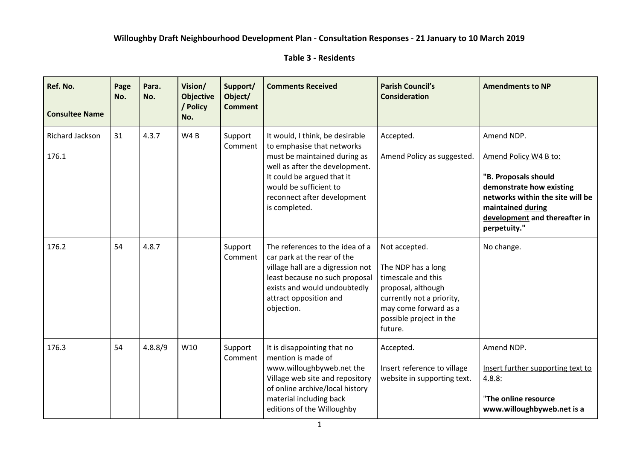## **Willoughby Draft Neighbourhood Development Plan - Consultation Responses - 21 January to 10 March 2019**

## **Table 3 - Residents**

| Ref. No.<br><b>Consultee Name</b> | Page<br>No. | Para.<br>No. | Vision/<br><b>Objective</b><br>/ Policy<br>No. | Support/<br>Object/<br><b>Comment</b> | <b>Comments Received</b>                                                                                                                                                                                                                | <b>Parish Council's</b><br><b>Consideration</b>                                                                                                                             | <b>Amendments to NP</b>                                                                                                                                                                           |
|-----------------------------------|-------------|--------------|------------------------------------------------|---------------------------------------|-----------------------------------------------------------------------------------------------------------------------------------------------------------------------------------------------------------------------------------------|-----------------------------------------------------------------------------------------------------------------------------------------------------------------------------|---------------------------------------------------------------------------------------------------------------------------------------------------------------------------------------------------|
| Richard Jackson<br>176.1          | 31          | 4.3.7        | W <sub>4</sub> B                               | Support<br>Comment                    | It would, I think, be desirable<br>to emphasise that networks<br>must be maintained during as<br>well as after the development.<br>It could be argued that it<br>would be sufficient to<br>reconnect after development<br>is completed. | Accepted.<br>Amend Policy as suggested.                                                                                                                                     | Amend NDP.<br>Amend Policy W4 B to:<br>"B. Proposals should<br>demonstrate how existing<br>networks within the site will be<br>maintained during<br>development and thereafter in<br>perpetuity." |
| 176.2                             | 54          | 4.8.7        |                                                | Support<br>Comment                    | The references to the idea of a<br>car park at the rear of the<br>village hall are a digression not<br>least because no such proposal<br>exists and would undoubtedly<br>attract opposition and<br>objection.                           | Not accepted.<br>The NDP has a long<br>timescale and this<br>proposal, although<br>currently not a priority,<br>may come forward as a<br>possible project in the<br>future. | No change.                                                                                                                                                                                        |
| 176.3                             | 54          | 4.8.8/9      | W10                                            | Support<br>Comment                    | It is disappointing that no<br>mention is made of<br>www.willoughbyweb.net the<br>Village web site and repository<br>of online archive/local history<br>material including back<br>editions of the Willoughby                           | Accepted.<br>Insert reference to village<br>website in supporting text.                                                                                                     | Amend NDP.<br>Insert further supporting text to<br>4.8.8:<br>"The online resource<br>www.willoughbyweb.net is a                                                                                   |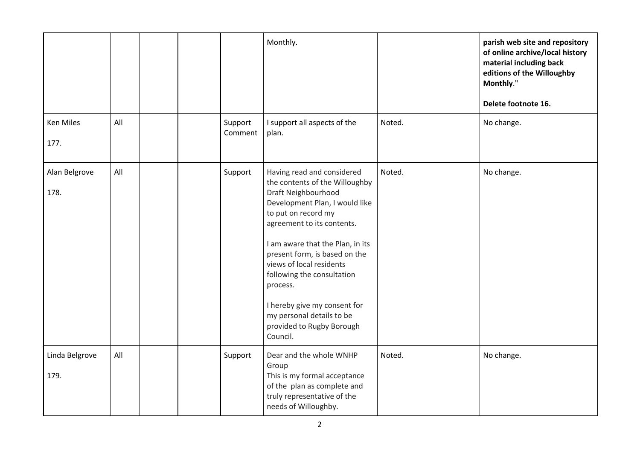|                        |     |  |                    | Monthly.                                                                                                                                                                                                                                                                                                                                                                                                                    |        | parish web site and repository<br>of online archive/local history<br>material including back<br>editions of the Willoughby<br>Monthly."<br>Delete footnote 16. |
|------------------------|-----|--|--------------------|-----------------------------------------------------------------------------------------------------------------------------------------------------------------------------------------------------------------------------------------------------------------------------------------------------------------------------------------------------------------------------------------------------------------------------|--------|----------------------------------------------------------------------------------------------------------------------------------------------------------------|
| Ken Miles<br>177.      | All |  | Support<br>Comment | I support all aspects of the<br>plan.                                                                                                                                                                                                                                                                                                                                                                                       | Noted. | No change.                                                                                                                                                     |
| Alan Belgrove<br>178.  | All |  | Support            | Having read and considered<br>the contents of the Willoughby<br>Draft Neighbourhood<br>Development Plan, I would like<br>to put on record my<br>agreement to its contents.<br>I am aware that the Plan, in its<br>present form, is based on the<br>views of local residents<br>following the consultation<br>process.<br>I hereby give my consent for<br>my personal details to be<br>provided to Rugby Borough<br>Council. | Noted. | No change.                                                                                                                                                     |
| Linda Belgrove<br>179. | All |  | Support            | Dear and the whole WNHP<br>Group<br>This is my formal acceptance<br>of the plan as complete and<br>truly representative of the<br>needs of Willoughby.                                                                                                                                                                                                                                                                      | Noted. | No change.                                                                                                                                                     |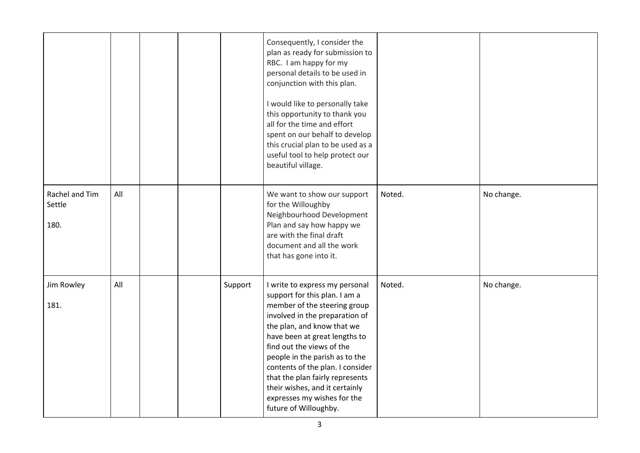|                                  |     |  |         | Consequently, I consider the<br>plan as ready for submission to<br>RBC. I am happy for my<br>personal details to be used in<br>conjunction with this plan.<br>I would like to personally take<br>this opportunity to thank you<br>all for the time and effort<br>spent on our behalf to develop<br>this crucial plan to be used as a<br>useful tool to help protect our<br>beautiful village.                                    |        |            |
|----------------------------------|-----|--|---------|----------------------------------------------------------------------------------------------------------------------------------------------------------------------------------------------------------------------------------------------------------------------------------------------------------------------------------------------------------------------------------------------------------------------------------|--------|------------|
| Rachel and Tim<br>Settle<br>180. | All |  |         | We want to show our support<br>for the Willoughby<br>Neighbourhood Development<br>Plan and say how happy we<br>are with the final draft<br>document and all the work<br>that has gone into it.                                                                                                                                                                                                                                   | Noted. | No change. |
| Jim Rowley<br>181.               | All |  | Support | I write to express my personal<br>support for this plan. I am a<br>member of the steering group<br>involved in the preparation of<br>the plan, and know that we<br>have been at great lengths to<br>find out the views of the<br>people in the parish as to the<br>contents of the plan. I consider<br>that the plan fairly represents<br>their wishes, and it certainly<br>expresses my wishes for the<br>future of Willoughby. | Noted. | No change. |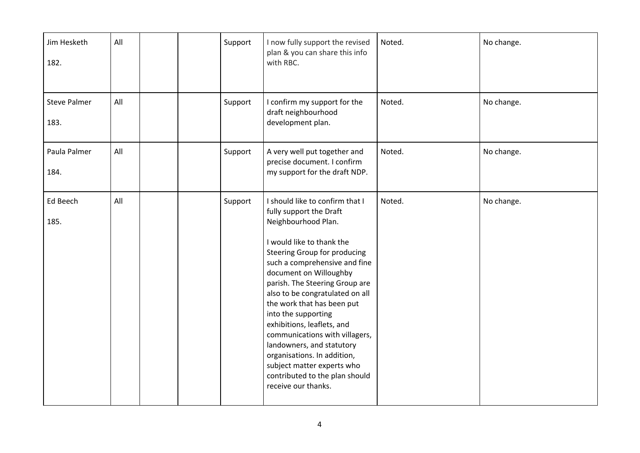| Jim Hesketh<br>182.         | All |  | Support | I now fully support the revised<br>plan & you can share this info<br>with RBC.                                                                                                                                                                                                                                                                                                                                                                                                                                                                         | Noted. | No change. |
|-----------------------------|-----|--|---------|--------------------------------------------------------------------------------------------------------------------------------------------------------------------------------------------------------------------------------------------------------------------------------------------------------------------------------------------------------------------------------------------------------------------------------------------------------------------------------------------------------------------------------------------------------|--------|------------|
| <b>Steve Palmer</b><br>183. | All |  | Support | I confirm my support for the<br>draft neighbourhood<br>development plan.                                                                                                                                                                                                                                                                                                                                                                                                                                                                               | Noted. | No change. |
| Paula Palmer<br>184.        | All |  | Support | A very well put together and<br>precise document. I confirm<br>my support for the draft NDP.                                                                                                                                                                                                                                                                                                                                                                                                                                                           | Noted. | No change. |
| Ed Beech<br>185.            | All |  | Support | I should like to confirm that I<br>fully support the Draft<br>Neighbourhood Plan.<br>I would like to thank the<br>Steering Group for producing<br>such a comprehensive and fine<br>document on Willoughby<br>parish. The Steering Group are<br>also to be congratulated on all<br>the work that has been put<br>into the supporting<br>exhibitions, leaflets, and<br>communications with villagers,<br>landowners, and statutory<br>organisations. In addition,<br>subject matter experts who<br>contributed to the plan should<br>receive our thanks. | Noted. | No change. |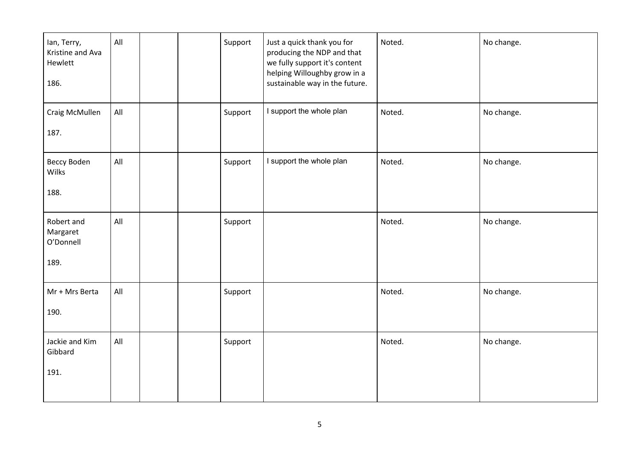| lan, Terry,<br>Kristine and Ava<br>Hewlett<br>186. | All |  | Support | Just a quick thank you for<br>producing the NDP and that<br>we fully support it's content<br>helping Willoughby grow in a<br>sustainable way in the future. | Noted. | No change. |
|----------------------------------------------------|-----|--|---------|-------------------------------------------------------------------------------------------------------------------------------------------------------------|--------|------------|
| Craig McMullen<br>187.                             | All |  | Support | I support the whole plan                                                                                                                                    | Noted. | No change. |
| Beccy Boden<br>Wilks<br>188.                       | All |  | Support | I support the whole plan                                                                                                                                    | Noted. | No change. |
| Robert and<br>Margaret<br>O'Donnell<br>189.        | All |  | Support |                                                                                                                                                             | Noted. | No change. |
| Mr + Mrs Berta<br>190.                             | All |  | Support |                                                                                                                                                             | Noted. | No change. |
| Jackie and Kim<br>Gibbard<br>191.                  | All |  | Support |                                                                                                                                                             | Noted. | No change. |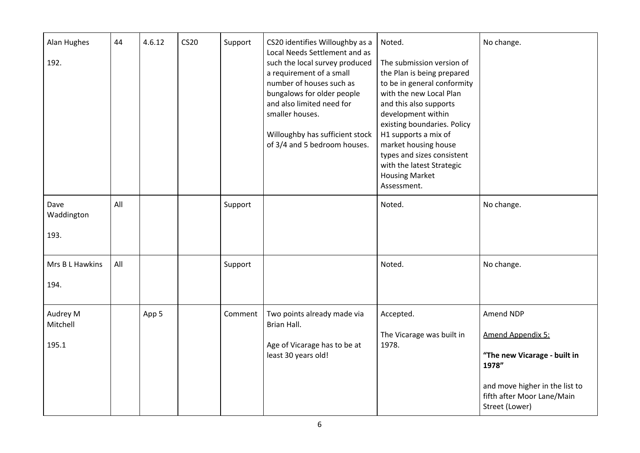| Alan Hughes<br>192.           | 44  | 4.6.12 | <b>CS20</b> | Support | CS20 identifies Willoughby as a<br>Local Needs Settlement and as<br>such the local survey produced<br>a requirement of a small<br>number of houses such as<br>bungalows for older people<br>and also limited need for<br>smaller houses.<br>Willoughby has sufficient stock<br>of 3/4 and 5 bedroom houses. | Noted.<br>The submission version of<br>the Plan is being prepared<br>to be in general conformity<br>with the new Local Plan<br>and this also supports<br>development within<br>existing boundaries. Policy<br>H1 supports a mix of<br>market housing house<br>types and sizes consistent<br>with the latest Strategic<br><b>Housing Market</b><br>Assessment. | No change.                                                                                                                                                |
|-------------------------------|-----|--------|-------------|---------|-------------------------------------------------------------------------------------------------------------------------------------------------------------------------------------------------------------------------------------------------------------------------------------------------------------|---------------------------------------------------------------------------------------------------------------------------------------------------------------------------------------------------------------------------------------------------------------------------------------------------------------------------------------------------------------|-----------------------------------------------------------------------------------------------------------------------------------------------------------|
| Dave<br>Waddington<br>193.    | All |        |             | Support |                                                                                                                                                                                                                                                                                                             | Noted.                                                                                                                                                                                                                                                                                                                                                        | No change.                                                                                                                                                |
| Mrs B L Hawkins<br>194.       | All |        |             | Support |                                                                                                                                                                                                                                                                                                             | Noted.                                                                                                                                                                                                                                                                                                                                                        | No change.                                                                                                                                                |
| Audrey M<br>Mitchell<br>195.1 |     | App 5  |             | Comment | Two points already made via<br>Brian Hall.<br>Age of Vicarage has to be at<br>least 30 years old!                                                                                                                                                                                                           | Accepted.<br>The Vicarage was built in<br>1978.                                                                                                                                                                                                                                                                                                               | Amend NDP<br>Amend Appendix 5:<br>"The new Vicarage - built in<br>1978"<br>and move higher in the list to<br>fifth after Moor Lane/Main<br>Street (Lower) |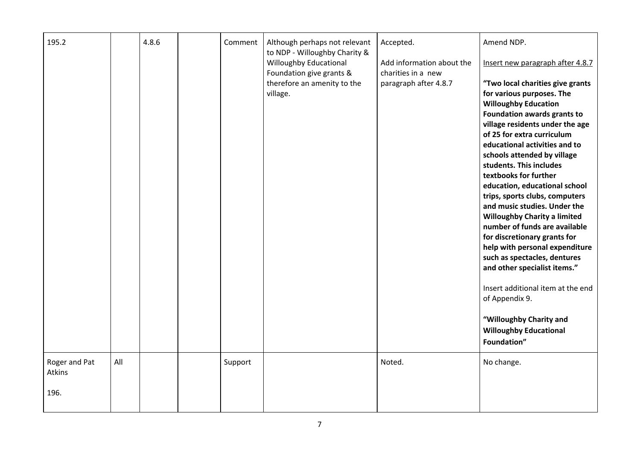| 195.2                   |     | 4.8.6 | Comment | Although perhaps not relevant<br>to NDP - Willoughby Charity &                                | Accepted.                                                                | Amend NDP.                                                                                                                                                                              |
|-------------------------|-----|-------|---------|-----------------------------------------------------------------------------------------------|--------------------------------------------------------------------------|-----------------------------------------------------------------------------------------------------------------------------------------------------------------------------------------|
|                         |     |       |         | Willoughby Educational<br>Foundation give grants &<br>therefore an amenity to the<br>village. | Add information about the<br>charities in a new<br>paragraph after 4.8.7 | Insert new paragraph after 4.8.7<br>"Two local charities give grants<br>for various purposes. The<br><b>Willoughby Education</b>                                                        |
|                         |     |       |         |                                                                                               |                                                                          | Foundation awards grants to<br>village residents under the age<br>of 25 for extra curriculum<br>educational activities and to<br>schools attended by village<br>students. This includes |
|                         |     |       |         |                                                                                               |                                                                          | textbooks for further<br>education, educational school<br>trips, sports clubs, computers<br>and music studies. Under the<br><b>Willoughby Charity a limited</b>                         |
|                         |     |       |         |                                                                                               |                                                                          | number of funds are available<br>for discretionary grants for<br>help with personal expenditure<br>such as spectacles, dentures<br>and other specialist items."                         |
|                         |     |       |         |                                                                                               |                                                                          | Insert additional item at the end<br>of Appendix 9.                                                                                                                                     |
|                         |     |       |         |                                                                                               |                                                                          | "Willoughby Charity and<br><b>Willoughby Educational</b><br>Foundation"                                                                                                                 |
| Roger and Pat<br>Atkins | All |       | Support |                                                                                               | Noted.                                                                   | No change.                                                                                                                                                                              |
| 196.                    |     |       |         |                                                                                               |                                                                          |                                                                                                                                                                                         |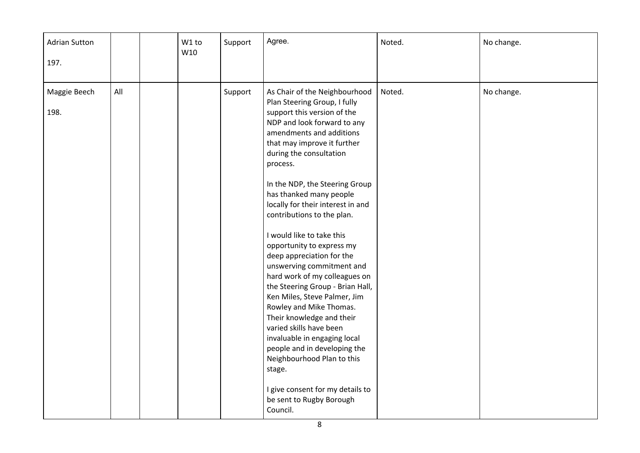| <b>Adrian Sutton</b><br>197. |     | W1 to<br>W10 | Support | Agree.                                                                                                                                                                                                                                                                                                                                                                                                                                                                                                                                                                                                                                                                                                                                                                                                                                                        | Noted. | No change. |
|------------------------------|-----|--------------|---------|---------------------------------------------------------------------------------------------------------------------------------------------------------------------------------------------------------------------------------------------------------------------------------------------------------------------------------------------------------------------------------------------------------------------------------------------------------------------------------------------------------------------------------------------------------------------------------------------------------------------------------------------------------------------------------------------------------------------------------------------------------------------------------------------------------------------------------------------------------------|--------|------------|
| Maggie Beech<br>198.         | All |              | Support | As Chair of the Neighbourhood<br>Plan Steering Group, I fully<br>support this version of the<br>NDP and look forward to any<br>amendments and additions<br>that may improve it further<br>during the consultation<br>process.<br>In the NDP, the Steering Group<br>has thanked many people<br>locally for their interest in and<br>contributions to the plan.<br>I would like to take this<br>opportunity to express my<br>deep appreciation for the<br>unswerving commitment and<br>hard work of my colleagues on<br>the Steering Group - Brian Hall,<br>Ken Miles, Steve Palmer, Jim<br>Rowley and Mike Thomas.<br>Their knowledge and their<br>varied skills have been<br>invaluable in engaging local<br>people and in developing the<br>Neighbourhood Plan to this<br>stage.<br>I give consent for my details to<br>be sent to Rugby Borough<br>Council. | Noted. | No change. |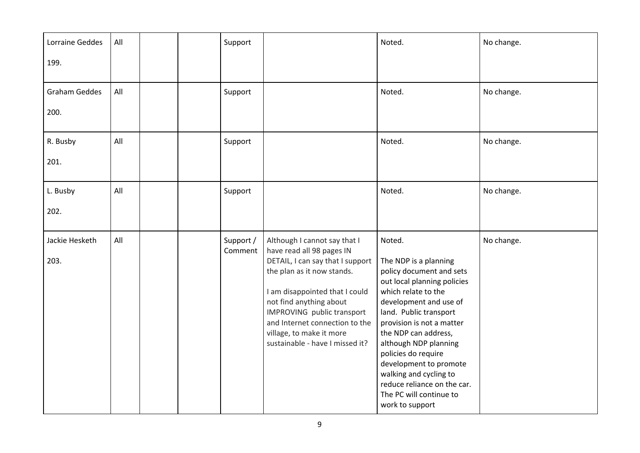| Lorraine Geddes        | All |  | Support              |                                                                                                                                                                                                                                                                                                                         | Noted.                                                                                                                                                                                                                                                                                                                                                                                                      | No change. |
|------------------------|-----|--|----------------------|-------------------------------------------------------------------------------------------------------------------------------------------------------------------------------------------------------------------------------------------------------------------------------------------------------------------------|-------------------------------------------------------------------------------------------------------------------------------------------------------------------------------------------------------------------------------------------------------------------------------------------------------------------------------------------------------------------------------------------------------------|------------|
| 199.                   |     |  |                      |                                                                                                                                                                                                                                                                                                                         |                                                                                                                                                                                                                                                                                                                                                                                                             |            |
| <b>Graham Geddes</b>   | All |  | Support              |                                                                                                                                                                                                                                                                                                                         | Noted.                                                                                                                                                                                                                                                                                                                                                                                                      | No change. |
| 200.                   |     |  |                      |                                                                                                                                                                                                                                                                                                                         |                                                                                                                                                                                                                                                                                                                                                                                                             |            |
| R. Busby               | All |  | Support              |                                                                                                                                                                                                                                                                                                                         | Noted.                                                                                                                                                                                                                                                                                                                                                                                                      | No change. |
| 201.                   |     |  |                      |                                                                                                                                                                                                                                                                                                                         |                                                                                                                                                                                                                                                                                                                                                                                                             |            |
| L. Busby               | All |  | Support              |                                                                                                                                                                                                                                                                                                                         | Noted.                                                                                                                                                                                                                                                                                                                                                                                                      | No change. |
| 202.                   |     |  |                      |                                                                                                                                                                                                                                                                                                                         |                                                                                                                                                                                                                                                                                                                                                                                                             |            |
| Jackie Hesketh<br>203. | All |  | Support /<br>Comment | Although I cannot say that I<br>have read all 98 pages IN<br>DETAIL, I can say that I support<br>the plan as it now stands.<br>I am disappointed that I could<br>not find anything about<br>IMPROVING public transport<br>and Internet connection to the<br>village, to make it more<br>sustainable - have I missed it? | Noted.<br>The NDP is a planning<br>policy document and sets<br>out local planning policies<br>which relate to the<br>development and use of<br>land. Public transport<br>provision is not a matter<br>the NDP can address,<br>although NDP planning<br>policies do require<br>development to promote<br>walking and cycling to<br>reduce reliance on the car.<br>The PC will continue to<br>work to support | No change. |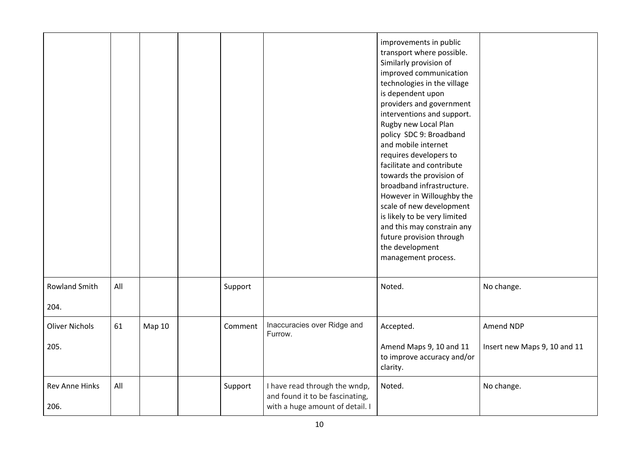|                               |     |        |         |                                                                                                     | improvements in public<br>transport where possible.<br>Similarly provision of<br>improved communication<br>technologies in the village<br>is dependent upon<br>providers and government<br>interventions and support.<br>Rugby new Local Plan<br>policy SDC 9: Broadband<br>and mobile internet<br>requires developers to<br>facilitate and contribute<br>towards the provision of<br>broadband infrastructure.<br>However in Willoughby the<br>scale of new development<br>is likely to be very limited<br>and this may constrain any<br>future provision through<br>the development<br>management process. |                                           |
|-------------------------------|-----|--------|---------|-----------------------------------------------------------------------------------------------------|--------------------------------------------------------------------------------------------------------------------------------------------------------------------------------------------------------------------------------------------------------------------------------------------------------------------------------------------------------------------------------------------------------------------------------------------------------------------------------------------------------------------------------------------------------------------------------------------------------------|-------------------------------------------|
| <b>Rowland Smith</b><br>204.  | All |        | Support |                                                                                                     | Noted.                                                                                                                                                                                                                                                                                                                                                                                                                                                                                                                                                                                                       | No change.                                |
| <b>Oliver Nichols</b><br>205. | 61  | Map 10 | Comment | Inaccuracies over Ridge and<br>Furrow.                                                              | Accepted.<br>Amend Maps 9, 10 and 11<br>to improve accuracy and/or<br>clarity.                                                                                                                                                                                                                                                                                                                                                                                                                                                                                                                               | Amend NDP<br>Insert new Maps 9, 10 and 11 |
| Rev Anne Hinks<br>206.        | All |        | Support | I have read through the wndp,<br>and found it to be fascinating,<br>with a huge amount of detail. I | Noted.                                                                                                                                                                                                                                                                                                                                                                                                                                                                                                                                                                                                       | No change.                                |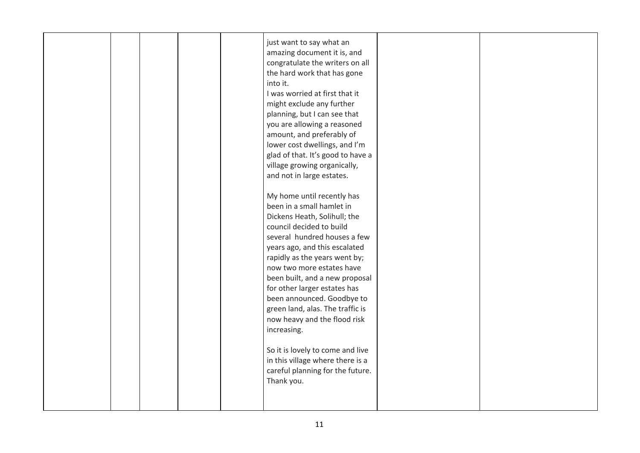|  | just want to say what an<br>amazing document it is, and<br>congratulate the writers on all<br>the hard work that has gone<br>into it.<br>I was worried at first that it<br>might exclude any further<br>planning, but I can see that<br>you are allowing a reasoned<br>amount, and preferably of<br>lower cost dwellings, and I'm<br>glad of that. It's good to have a                                                                                                                                                                                                     |  |
|--|----------------------------------------------------------------------------------------------------------------------------------------------------------------------------------------------------------------------------------------------------------------------------------------------------------------------------------------------------------------------------------------------------------------------------------------------------------------------------------------------------------------------------------------------------------------------------|--|
|  | village growing organically,<br>and not in large estates.<br>My home until recently has<br>been in a small hamlet in<br>Dickens Heath, Solihull; the<br>council decided to build<br>several hundred houses a few<br>years ago, and this escalated<br>rapidly as the years went by;<br>now two more estates have<br>been built, and a new proposal<br>for other larger estates has<br>been announced. Goodbye to<br>green land, alas. The traffic is<br>now heavy and the flood risk<br>increasing.<br>So it is lovely to come and live<br>in this village where there is a |  |
|  | careful planning for the future.<br>Thank you.                                                                                                                                                                                                                                                                                                                                                                                                                                                                                                                             |  |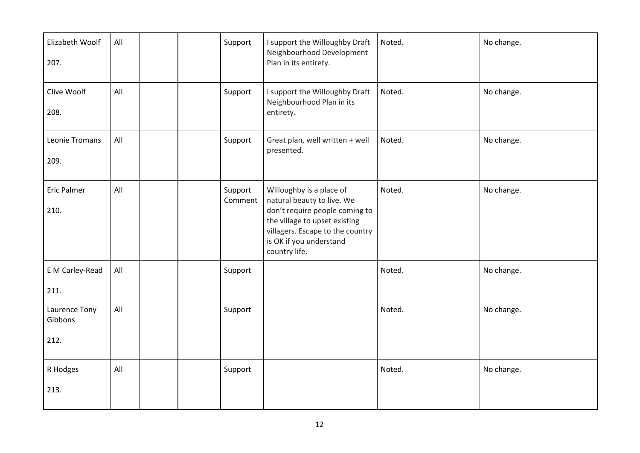| Elizabeth Woolf<br>207.          | All |  | Support            | I support the Willoughby Draft<br>Neighbourhood Development<br>Plan in its entirety.                                                                                                                      | Noted. | No change. |
|----------------------------------|-----|--|--------------------|-----------------------------------------------------------------------------------------------------------------------------------------------------------------------------------------------------------|--------|------------|
| Clive Woolf<br>208.              | All |  | Support            | I support the Willoughby Draft<br>Neighbourhood Plan in its<br>entirety.                                                                                                                                  | Noted. | No change. |
| Leonie Tromans<br>209.           | All |  | Support            | Great plan, well written + well<br>presented.                                                                                                                                                             | Noted. | No change. |
| <b>Eric Palmer</b><br>210.       | All |  | Support<br>Comment | Willoughby is a place of<br>natural beauty to live. We<br>don't require people coming to<br>the village to upset existing<br>villagers. Escape to the country<br>is OK if you understand<br>country life. | Noted. | No change. |
| E M Carley-Read<br>211.          | All |  | Support            |                                                                                                                                                                                                           | Noted. | No change. |
| Laurence Tony<br>Gibbons<br>212. | All |  | Support            |                                                                                                                                                                                                           | Noted. | No change. |
| R Hodges<br>213.                 | All |  | Support            |                                                                                                                                                                                                           | Noted. | No change. |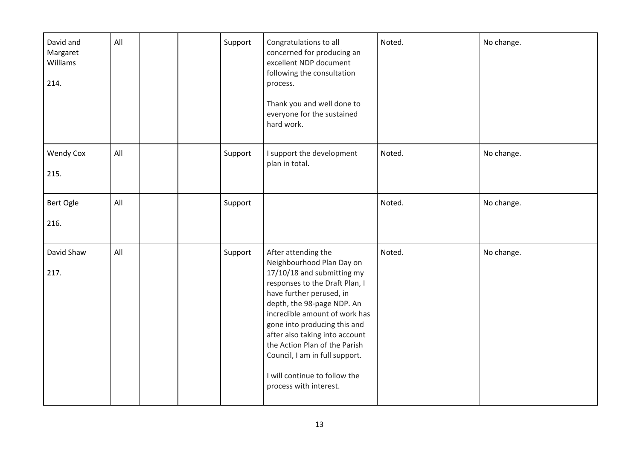| David and<br>Margaret<br>Williams<br>214. | All |  | Support | Congratulations to all<br>concerned for producing an<br>excellent NDP document<br>following the consultation<br>process.<br>Thank you and well done to<br>everyone for the sustained<br>hard work.                                                                                                                                                                                                          | Noted. | No change. |
|-------------------------------------------|-----|--|---------|-------------------------------------------------------------------------------------------------------------------------------------------------------------------------------------------------------------------------------------------------------------------------------------------------------------------------------------------------------------------------------------------------------------|--------|------------|
| <b>Wendy Cox</b><br>215.                  | All |  | Support | I support the development<br>plan in total.                                                                                                                                                                                                                                                                                                                                                                 | Noted. | No change. |
| Bert Ogle<br>216.                         | All |  | Support |                                                                                                                                                                                                                                                                                                                                                                                                             | Noted. | No change. |
| David Shaw<br>217.                        | All |  | Support | After attending the<br>Neighbourhood Plan Day on<br>17/10/18 and submitting my<br>responses to the Draft Plan, I<br>have further perused, in<br>depth, the 98-page NDP. An<br>incredible amount of work has<br>gone into producing this and<br>after also taking into account<br>the Action Plan of the Parish<br>Council, I am in full support.<br>I will continue to follow the<br>process with interest. | Noted. | No change. |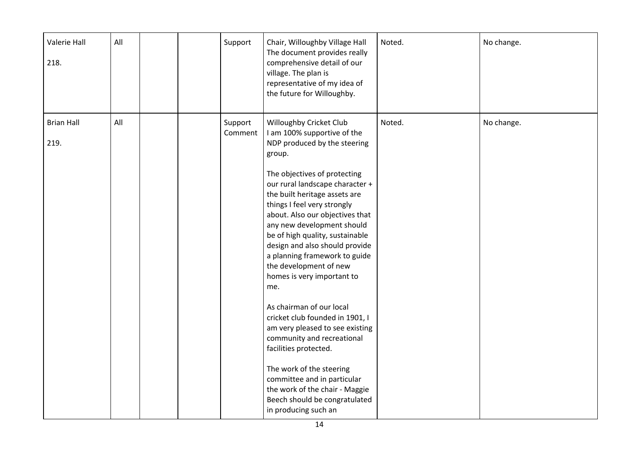| Valerie Hall<br>218.      | All |  | Support            | Chair, Willoughby Village Hall<br>The document provides really<br>comprehensive detail of our<br>village. The plan is<br>representative of my idea of<br>the future for Willoughby.                                                                                                                                                                                                                                                                                                                                                                                                                                                                                                                                                                                                      | Noted. | No change. |
|---------------------------|-----|--|--------------------|------------------------------------------------------------------------------------------------------------------------------------------------------------------------------------------------------------------------------------------------------------------------------------------------------------------------------------------------------------------------------------------------------------------------------------------------------------------------------------------------------------------------------------------------------------------------------------------------------------------------------------------------------------------------------------------------------------------------------------------------------------------------------------------|--------|------------|
| <b>Brian Hall</b><br>219. | All |  | Support<br>Comment | Willoughby Cricket Club<br>I am 100% supportive of the<br>NDP produced by the steering<br>group.<br>The objectives of protecting<br>our rural landscape character +<br>the built heritage assets are<br>things I feel very strongly<br>about. Also our objectives that<br>any new development should<br>be of high quality, sustainable<br>design and also should provide<br>a planning framework to guide<br>the development of new<br>homes is very important to<br>me.<br>As chairman of our local<br>cricket club founded in 1901, I<br>am very pleased to see existing<br>community and recreational<br>facilities protected.<br>The work of the steering<br>committee and in particular<br>the work of the chair - Maggie<br>Beech should be congratulated<br>in producing such an | Noted. | No change. |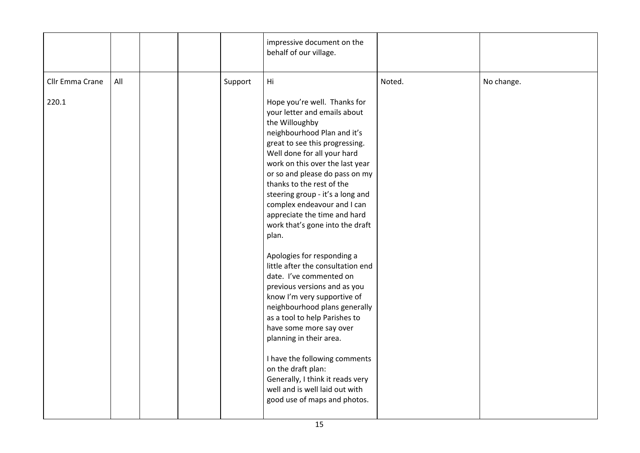|                        |         | impressive document on the<br>behalf of our village.                                                                                                                                                                                                                                                                                                                                                                                                                                                                                                                                                                                                                                                                                                                                                                                                                              |        |            |
|------------------------|---------|-----------------------------------------------------------------------------------------------------------------------------------------------------------------------------------------------------------------------------------------------------------------------------------------------------------------------------------------------------------------------------------------------------------------------------------------------------------------------------------------------------------------------------------------------------------------------------------------------------------------------------------------------------------------------------------------------------------------------------------------------------------------------------------------------------------------------------------------------------------------------------------|--------|------------|
| Cllr Emma Crane<br>All | Support | Hi                                                                                                                                                                                                                                                                                                                                                                                                                                                                                                                                                                                                                                                                                                                                                                                                                                                                                | Noted. | No change. |
| 220.1                  |         | Hope you're well. Thanks for<br>your letter and emails about<br>the Willoughby<br>neighbourhood Plan and it's<br>great to see this progressing.<br>Well done for all your hard<br>work on this over the last year<br>or so and please do pass on my<br>thanks to the rest of the<br>steering group - it's a long and<br>complex endeavour and I can<br>appreciate the time and hard<br>work that's gone into the draft<br>plan.<br>Apologies for responding a<br>little after the consultation end<br>date. I've commented on<br>previous versions and as you<br>know I'm very supportive of<br>neighbourhood plans generally<br>as a tool to help Parishes to<br>have some more say over<br>planning in their area.<br>I have the following comments<br>on the draft plan:<br>Generally, I think it reads very<br>well and is well laid out with<br>good use of maps and photos. |        |            |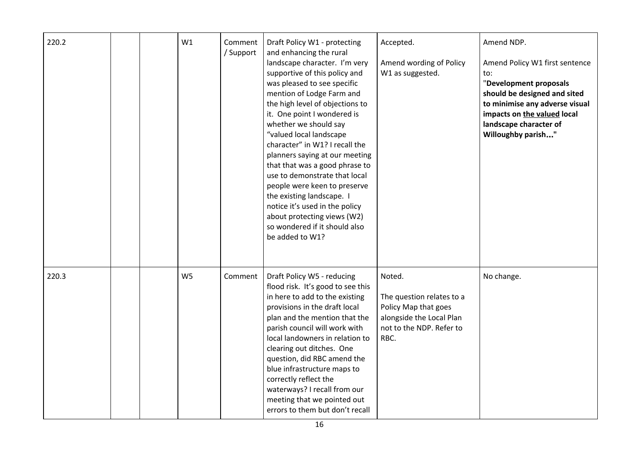| 220.2 |  | W1             | Comment<br>/ Support | Draft Policy W1 - protecting<br>and enhancing the rural<br>landscape character. I'm very<br>supportive of this policy and<br>was pleased to see specific<br>mention of Lodge Farm and<br>the high level of objections to<br>it. One point I wondered is<br>whether we should say<br>"valued local landscape<br>character" in W1? I recall the<br>planners saying at our meeting<br>that that was a good phrase to<br>use to demonstrate that local<br>people were keen to preserve<br>the existing landscape. I<br>notice it's used in the policy<br>about protecting views (W2)<br>so wondered if it should also<br>be added to W1? | Accepted.<br>Amend wording of Policy<br>W1 as suggested.                                                                    | Amend NDP.<br>Amend Policy W1 first sentence<br>to:<br>"Development proposals<br>should be designed and sited<br>to minimise any adverse visual<br>impacts on the valued local<br>landscape character of<br>Willoughby parish" |
|-------|--|----------------|----------------------|--------------------------------------------------------------------------------------------------------------------------------------------------------------------------------------------------------------------------------------------------------------------------------------------------------------------------------------------------------------------------------------------------------------------------------------------------------------------------------------------------------------------------------------------------------------------------------------------------------------------------------------|-----------------------------------------------------------------------------------------------------------------------------|--------------------------------------------------------------------------------------------------------------------------------------------------------------------------------------------------------------------------------|
| 220.3 |  | W <sub>5</sub> | Comment              | Draft Policy W5 - reducing<br>flood risk. It's good to see this<br>in here to add to the existing<br>provisions in the draft local<br>plan and the mention that the<br>parish council will work with<br>local landowners in relation to<br>clearing out ditches. One<br>question, did RBC amend the<br>blue infrastructure maps to<br>correctly reflect the<br>waterways? I recall from our<br>meeting that we pointed out<br>errors to them but don't recall                                                                                                                                                                        | Noted.<br>The question relates to a<br>Policy Map that goes<br>alongside the Local Plan<br>not to the NDP. Refer to<br>RBC. | No change.                                                                                                                                                                                                                     |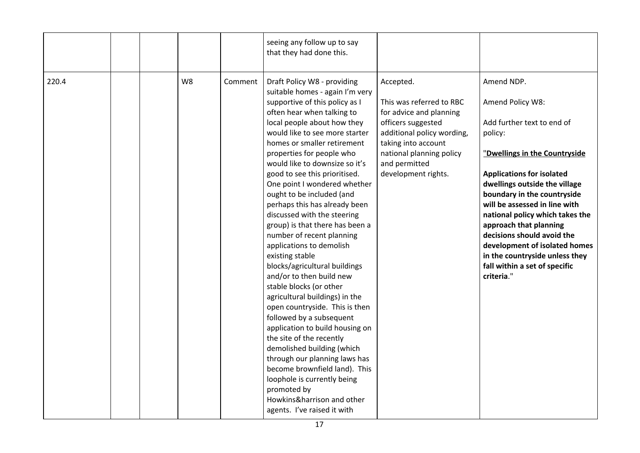|       |  |    |         | seeing any follow up to say<br>that they had done this.                                                                                                                                                                                                                                                                                                                                                                                                                                                                                                                                                                                                                                                                                                                                                                                                                                                                                                                                                                                      |                                                                                                                                                                                                                 |                                                                                                                                                                                                                                                                                                                                                                                                                                                            |
|-------|--|----|---------|----------------------------------------------------------------------------------------------------------------------------------------------------------------------------------------------------------------------------------------------------------------------------------------------------------------------------------------------------------------------------------------------------------------------------------------------------------------------------------------------------------------------------------------------------------------------------------------------------------------------------------------------------------------------------------------------------------------------------------------------------------------------------------------------------------------------------------------------------------------------------------------------------------------------------------------------------------------------------------------------------------------------------------------------|-----------------------------------------------------------------------------------------------------------------------------------------------------------------------------------------------------------------|------------------------------------------------------------------------------------------------------------------------------------------------------------------------------------------------------------------------------------------------------------------------------------------------------------------------------------------------------------------------------------------------------------------------------------------------------------|
| 220.4 |  | W8 | Comment | Draft Policy W8 - providing<br>suitable homes - again I'm very<br>supportive of this policy as I<br>often hear when talking to<br>local people about how they<br>would like to see more starter<br>homes or smaller retirement<br>properties for people who<br>would like to downsize so it's<br>good to see this prioritised.<br>One point I wondered whether<br>ought to be included (and<br>perhaps this has already been<br>discussed with the steering<br>group) is that there has been a<br>number of recent planning<br>applications to demolish<br>existing stable<br>blocks/agricultural buildings<br>and/or to then build new<br>stable blocks (or other<br>agricultural buildings) in the<br>open countryside. This is then<br>followed by a subsequent<br>application to build housing on<br>the site of the recently<br>demolished building (which<br>through our planning laws has<br>become brownfield land). This<br>loophole is currently being<br>promoted by<br>Howkins&harrison and other<br>agents. I've raised it with | Accepted.<br>This was referred to RBC<br>for advice and planning<br>officers suggested<br>additional policy wording,<br>taking into account<br>national planning policy<br>and permitted<br>development rights. | Amend NDP.<br>Amend Policy W8:<br>Add further text to end of<br>policy:<br>"Dwellings in the Countryside<br><b>Applications for isolated</b><br>dwellings outside the village<br>boundary in the countryside<br>will be assessed in line with<br>national policy which takes the<br>approach that planning<br>decisions should avoid the<br>development of isolated homes<br>in the countryside unless they<br>fall within a set of specific<br>criteria." |